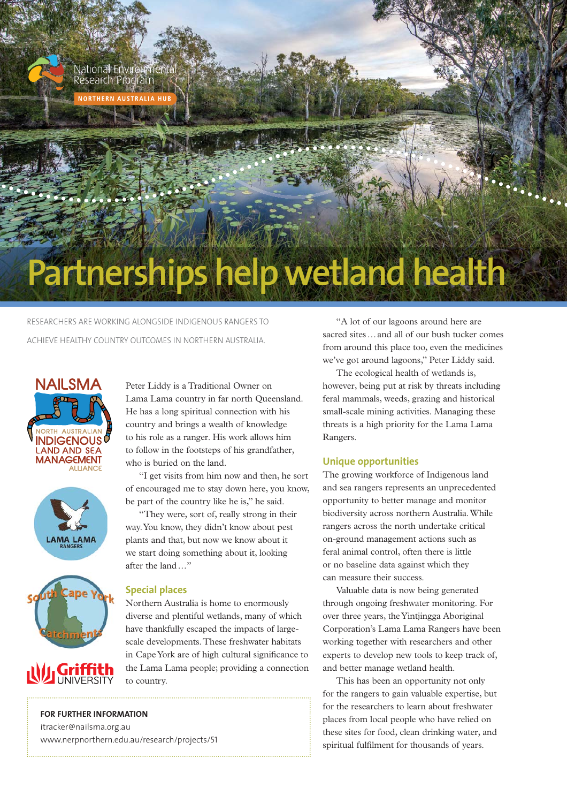

**NORTHERN AUSTRALIA HUB** 

# **Partnerships help wetland health**

RESEARCHERS ARE WORKING ALONGSIDE INDIGENOUS RANGERS TO ACHIEVE HEALTHY COUNTRY OUTCOMES IN NORTHERN AUSTRALIA.







Peter Liddy is a Traditional Owner on Lama Lama country in far north Queensland. He has a long spiritual connection with his country and brings a wealth of knowledge to his role as a ranger. His work allows him to follow in the footsteps of his grandfather, who is buried on the land.

"I get visits from him now and then, he sort of encouraged me to stay down here, you know, be part of the country like he is," he said.

"They were, sort of, really strong in their way. You know, they didn't know about pest plants and that, but now we know about it we start doing something about it, looking after the land …"

## **Special places**

Northern Australia is home to enormously diverse and plentiful wetlands, many of which have thankfully escaped the impacts of largescale developments. These freshwater habitats in Cape York are of high cultural significance to the Lama Lama people; providing a connection to country.

#### **FOR FURTHER INFORMATION**

itracker@nailsma.org.au www.nerpnorthern.edu.au/research/projects/51

"A lot of our lagoons around here are sacred sites … and all of our bush tucker comes from around this place too, even the medicines we've got around lagoons," Peter Liddy said.

The ecological health of wetlands is, however, being put at risk by threats including feral mammals, weeds, grazing and historical small-scale mining activities. Managing these threats is a high priority for the Lama Lama Rangers.

#### **Unique opportunities**

The growing workforce of Indigenous land and sea rangers represents an unprecedented opportunity to better manage and monitor biodiversity across northern Australia. While rangers across the north undertake critical on-ground management actions such as feral animal control, often there is little or no baseline data against which they can measure their success.

Valuable data is now being generated through ongoing freshwater monitoring. For over three years, the Yintjingga Aboriginal Corporation's Lama Lama Rangers have been working together with researchers and other experts to develop new tools to keep track of, and better manage wetland health.

This has been an opportunity not only for the rangers to gain valuable expertise, but for the researchers to learn about freshwater places from local people who have relied on these sites for food, clean drinking water, and spiritual fulfilment for thousands of years.